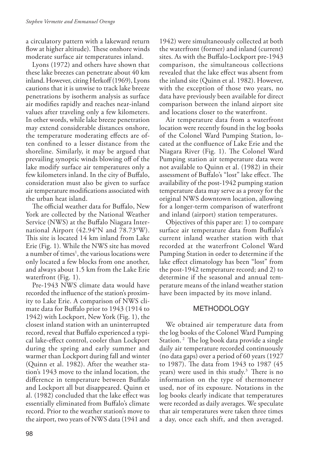a circulatory pattern with a lakeward return flow at higher altitude). These onshore winds moderate surface air temperatures inland.

Lyons (1972) and others have shown that these lake breezes can penetrate about 40 km inland. However, citing Herkoff (1969), Lyons cautions that it is unwise to track lake breeze penetrations by isotherm analysis as surface air modifies rapidly and reaches near-inland values after traveling only a few kilometers. In other words, while lake breeze penetration may extend considerable distances onshore, the temperature moderating effects are often confined to a lesser distance from the shoreline. Similarly, it may be argued that prevailing synoptic winds blowing off of the lake modify surface air temperatures only a few kilometers inland. In the city of Buffalo, consideration must also be given to surface air temperature modifications associated with the urban heat island.

The official weather data for Buffalo, New York are collected by the National Weather Service (NWS) at the Buffalo Niagara International Airport (42.94°N and 78.73°W). This site is located 14 km inland from Lake Erie (Fig. 1). While the NWS site has moved a number of times<sup>1</sup>, the various locations were only located a few blocks from one another, and always about 1.5 km from the Lake Erie waterfront (Fig. 1).

Pre-1943 NWS climate data would have recorded the influence of the station's proximity to Lake Erie. A comparison of NWS climate data for Buffalo prior to 1943 (1914 to 1942) with Lockport, New York (Fig. 1), the closest inland station with an uninterrupted record, reveal that Buffalo experienced a typical lake-effect control, cooler than Lockport during the spring and early summer and warmer than Lockport during fall and winter (Quinn et al. 1982). After the weather station's 1943 move to the inland location, the difference in temperature between Buffalo and Lockport all but disappeared. Quinn et al. (1982) concluded that the lake effect was essentially eliminated from Buffalo's climate record. Prior to the weather station's move to the airport, two years of NWS data (1941 and

1942) were simultaneously collected at both the waterfront (former) and inland (current) sites. As with the Buffalo-Lockport pre-1943 comparison, the simultaneous collections revealed that the lake effect was absent from the inland site (Quinn et al. 1982). However, with the exception of those two years, no data have previously been available for direct comparison between the inland airport site and locations closer to the waterfront.

Air temperature data from a waterfront location were recently found in the log books of the Colonel Ward Pumping Station, located at the confluence of Lake Erie and the Niagara River (Fig. 1). The Colonel Ward Pumping station air temperature data were not available to Quinn et al. (1982) in their assessment of Buffalo's "lost" lake effect. The availability of the post-1942 pumping station temperature data may serve as a proxy for the original NWS downtown location, allowing for a longer-term comparison of waterfront and inland (airport) station temperatures.

Objectives of this paper are: 1) to compare surface air temperature data from Buffalo's current inland weather station with that recorded at the waterfront Colonel Ward Pumping Station in order to determine if the lake effect climatology has been "lost" from the post-1942 temperature record; and 2) to determine if the seasonal and annual temperature means of the inland weather station have been impacted by its move inland.

### **METHODOLOGY**

We obtained air temperature data from the log books of the Colonel Ward Pumping Station.<sup>2</sup> The log book data provide a single daily air temperature recorded continuously (no data gaps) over a period of 60 years (1927 to 1987). The data from 1943 to 1987 (45 years) were used in this study. 3 There is no information on the type of thermometer used, nor of its exposure. Notations in the log books clearly indicate that temperatures were recorded as daily averages. We speculate that air temperatures were taken three times a day, once each shift, and then averaged.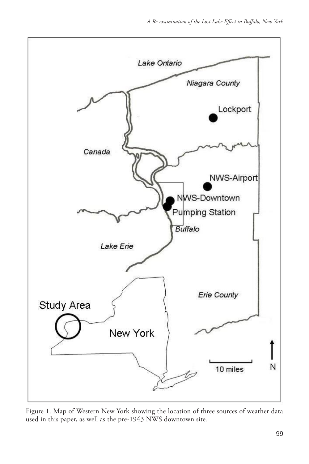

Figure 1. Map of Western New York showing the location of three sources of weather data used in this paper, as well as the pre-1943 NWS downtown site.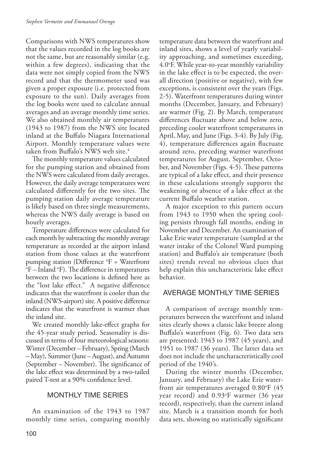Comparisons with NWS temperatures show that the values recorded in the log books are not the same, but are reasonably similar (e.g. within a few degrees), indicating that the data were not simply copied from the NWS record and that the thermometer used was given a proper exposure (i.e. protected from exposure to the sun). Daily averages from the log books were used to calculate annual averages and an average monthly time series. We also obtained monthly air temperatures (1943 to 1987) from the NWS site located inland at the Buffalo Niagara International Airport. Monthly temperature values were taken from Buffalo's NWS web site. 4

The monthly temperature values calculated for the pumping station and obtained from the NWS were calculated from daily averages. However, the daily average temperatures were calculated differently for the two sites. The pumping station daily average temperature is likely based on three single measurements, whereas the NWS daily average is based on hourly averages.

Temperature differences were calculated for each month by subtracting the monthly average temperature as recorded at the airport inland station from those values at the waterfront pumping station (Difference  ${}^{\circ}F =$  Waterfront  ${}^{\circ}F =$  Inland  ${}^{\circ}F$ ) The difference in temperatures F – Inland °F). The difference in temperatures between the two locations is defined here as the "lost lake effect." A negative difference indicates that the waterfront is cooler than the inland (NWS-airport) site. A positive difference indicates that the waterfront is warmer than the inland site.

We created monthly lake-effect graphs for the 45-year study period. Seasonality is discussed in terms of four meteorological seasons: Winter (December – February), Spring (March – May), Summer (June – August), and Autumn (September – November). The significance of the lake effect was determined by a two-tailed paired T-test at a 90% confidence level.

## Monthly Time Series

An examination of the 1943 to 1987 monthly time series, comparing monthly

temperature data between the waterfront and inland sites, shows a level of yearly variability approaching, and sometimes exceeding, 4.0o F. While year-to-year monthly variability in the lake effect is to be expected, the overall direction (positive or negative), with few exceptions, is consistent over the years (Figs. 2-5). Waterfront temperatures during winter months (December, January, and February) are warmer (Fig. 2). By March, temperature differences fluctuate above and below zero, preceding cooler waterfront temperatures in April, May, and June (Figs. 3-4). By July (Fig. 4), temperature differences again fluctuate around zero, preceding warmer waterfront temperatures for August, September, October, and November (Figs. 4-5). These patterns are typical of a lake effect, and their presence in these calculations strongly supports the weakening or absence of a lake effect at the current Buffalo weather station.

A major exception to this pattern occurs from 1943 to 1950 when the spring cooling persists through fall months, ending in November and December. An examination of Lake Erie water temperature (sampled at the water intake of the Colonel Ward pumping station) and Buffalo's air temperature (both sites) trends reveal no obvious clues that help explain this uncharacteristic lake effect behavior.

## Average Monthly Time Series

A comparison of average monthly temperatures between the waterfront and inland sites clearly shows a classic lake breeze along Buffalo's waterfront (Fig. 6). Two data sets are presented: 1943 to 1987 (45 years), and 1951 to 1987 (36 years). The latter data set does not include the uncharacteristically cool period of the 1940's.

During the winter months (December, January, and February) the Lake Erie waterfront air temperatures averaged 0.80°F (45 year record) and 0.93o F warmer (36 year record), respectively, than the current inland site. March is a transition month for both data sets, showing no statistically significant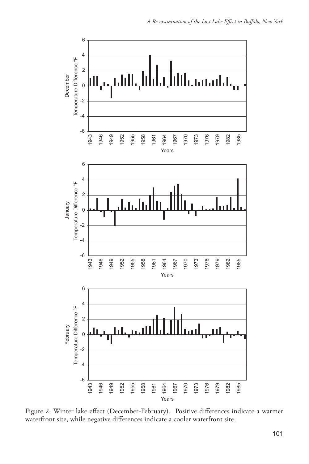

Figure 2. Winter lake effect (December-February). Positive differences indicate a warmer waterfront site, while negative differences indicate a cooler waterfront site.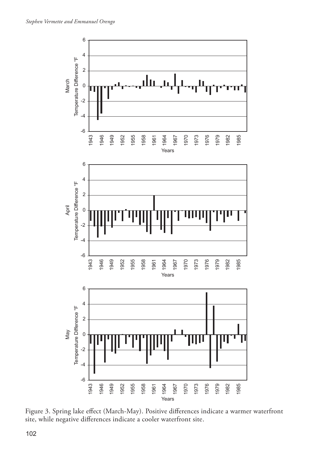

Figure 3. Spring lake effect (March-May). Positive differences indicate a warmer waterfront site, while negative differences indicate a cooler waterfront site.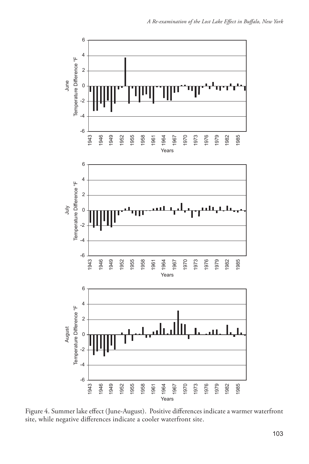

Figure 4. Summer lake effect (June-August). Positive differences indicate a warmer waterfront site, while negative differences indicate a cooler waterfront site.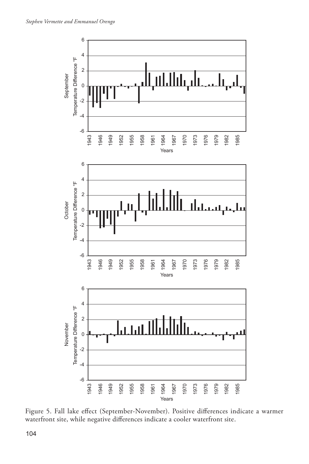

Figure 5. Fall lake effect (September-November). Positive differences indicate a warmer waterfront site, while negative differences indicate a cooler waterfront site.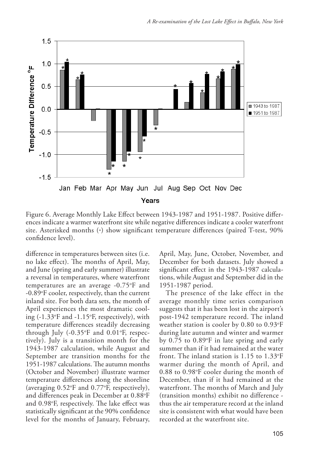

Figure 6. Average Monthly Lake Effect between 1943-1987 and 1951-1987. Positive differences indicate a warmer waterfront site while negative differences indicate a cooler waterfront site. Asterisked months (\*) show significant temperature differences (paired T-test, 90% confidence level).

difference in temperatures between sites (i.e. no lake effect). The months of April, May, and June (spring and early summer) illustrate a reversal in temperatures, where waterfront temperatures are an average -0.75°F and -0.89°F cooler, respectively, than the current inland site. For both data sets, the month of April experiences the most dramatic cooling (-1.33o F and -1.15o F, respectively), with temperature differences steadily decreasing through July (-0.35°F and 0.01°F, respectively). July is a transition month for the 1943-1987 calculation, while August and September are transition months for the 1951-1987 calculations. The autumn months (October and November) illustrate warmer temperature differences along the shoreline (averaging 0.52o F and 0.77o F, respectively), and differences peak in December at 0.88°F and 0.98°F, respectively. The lake effect was statistically significant at the 90% confidence level for the months of January, February,

April, May, June, October, November, and December for both datasets. July showed a significant effect in the 1943-1987 calculations, while August and September did in the 1951-1987 period.

The presence of the lake effect in the average monthly time series comparison suggests that it has been lost in the airport's post-1942 temperature record. The inland weather station is cooler by  $0.80$  to  $0.93^{\circ}F$ during late autumn and winter and warmer by 0.75 to 0.89°F in late spring and early summer than if it had remained at the water front. The inland station is 1.15 to 1.33o F warmer during the month of April, and 0.88 to 0.98°F cooler during the month of December, than if it had remained at the waterfront. The months of March and July (transition months) exhibit no difference thus the air temperature record at the inland site is consistent with what would have been recorded at the waterfront site.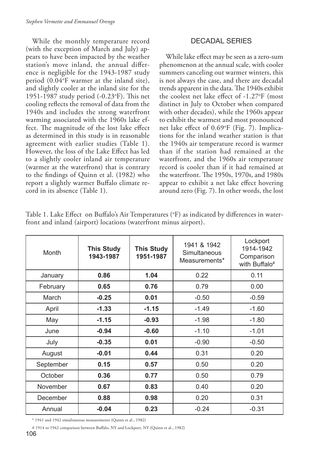While the monthly temperature record (with the exception of March and July) appears to have been impacted by the weather station's move inland, the annual difference is negligible for the 1943-1987 study period (0.04°F warmer at the inland site), and slightly cooler at the inland site for the 1951-1987 study period (-0.23°F). This net cooling reflects the removal of data from the 1940s and includes the strong waterfront warming associated with the 1960s lake effect. The magnitude of the lost lake effect as determined in this study is in reasonable agreement with earlier studies (Table 1). However, the loss of the Lake Effect has led to a slightly cooler inland air temperature (warmer at the waterfront) that is contrary to the findings of Quinn et al. (1982) who report a slightly warmer Buffalo climate record in its absence (Table 1).

### Decadal Series

While lake effect may be seen as a zero-sum phenomenon at the annual scale, with cooler summers canceling out warmer winters, this is not always the case, and there are decadal trends apparent in the data. The 1940s exhibit the coolest net lake effect of -1.27o F (most distinct in July to October when compared with other decades), while the 1960s appear to exhibit the warmest and most pronounced net lake effect of 0.69°F (Fig. 7). Implications for the inland weather station is that the 1940s air temperature record is warmer than if the station had remained at the waterfront, and the 1960s air temperature record is cooler than if it had remained at the waterfront. The 1950s, 1970s, and 1980s appear to exhibit a net lake effect hovering around zero (Fig. 7). In other words, the lost

| <b>Month</b> | <b>This Study</b><br>1943-1987 | <b>This Study</b><br>1951-1987 | 1941 & 1942<br>Simultaneous<br>Measurements* | Lockport<br>1914-1942<br>Comparison<br>with Buffalo <sup>#</sup> |
|--------------|--------------------------------|--------------------------------|----------------------------------------------|------------------------------------------------------------------|
| January      | 0.86                           | 1.04                           | 0.22                                         | 0.11                                                             |
| February     | 0.65                           | 0.76                           | 0.79                                         | 0.00                                                             |
| March        | $-0.25$                        | 0.01                           | $-0.50$                                      | $-0.59$                                                          |
| April        | $-1.33$                        | $-1.15$                        | $-1.49$                                      | $-1.60$                                                          |
| May          | $-1.15$                        | $-0.93$                        | $-1.98$                                      | $-1.80$                                                          |
| June         | $-0.94$                        | $-0.60$                        | $-1.10$                                      | $-1.01$                                                          |
| July         | $-0.35$                        | 0.01                           | $-0.90$                                      | $-0.50$                                                          |
| August       | $-0.01$                        | 0.44                           | 0.31                                         | 0.20                                                             |
| September    | 0.15                           | 0.57                           | 0.50                                         | 0.20                                                             |
| October      | 0.36                           | 0.77                           | 0.50                                         | 0.79                                                             |
| November     | 0.67                           | 0.83                           | 0.40                                         | 0.20                                                             |
| December     | 0.88                           | 0.98                           | 0.20                                         | 0.31                                                             |
| Annual       | $-0.04$                        | 0.23                           | $-0.24$                                      | $-0.31$                                                          |

Table 1. Lake Effect on Buffalo's Air Temperatures (°F) as indicated by differences in waterfront and inland (airport) locations (waterfront minus airport).

\* 1941 and 1942 simultaneous measurements (Quinn et al., 1982)

<sup># 1914</sup> to 1942 comparison between Buffalo, NY and Lockport, NY (Quinn et al., 1982)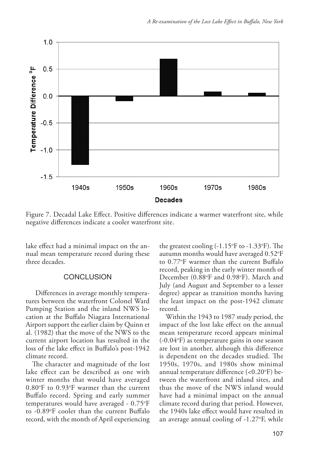

Figure 7. Decadal Lake Effect. Positive differences indicate a warmer waterfront site, while negative differences indicate a cooler waterfront site.

lake effect had a minimal impact on the annual mean temperature record during these three decades.

#### **CONCLUSION**

 Differences in average monthly temperatures between the waterfront Colonel Ward Pumping Station and the inland NWS location at the Buffalo Niagara International Airport support the earlier claim by Quinn et al. (1982) that the move of the NWS to the current airport location has resulted in the loss of the lake effect in Buffalo's post-1942 climate record.

The character and magnitude of the lost lake effect can be described as one with winter months that would have averaged 0.80°F to 0.93°F warmer than the current Buffalo record. Spring and early summer temperatures would have averaged - 0.75o F to -0.89°F cooler than the current Buffalo record, with the month of April experiencing

the greatest cooling (-1.15°F to -1.33°F). The autumn months would have averaged  $0.52^{\circ}\mathrm{F}$ to 0.77o F warmer than the current Buffalo record, peaking in the early winter month of December (0.88°F and 0.98°F). March and July (and August and September to a lesser degree) appear as transition months having the least impact on the post-1942 climate record.

Within the 1943 to 1987 study period, the impact of the lost lake effect on the annual mean temperature record appears minimal (-0.04o F) as temperature gains in one season are lost in another, although this difference is dependent on the decades studied. The 1950s, 1970s, and 1980s show minimal annual temperature difference (<0.20°F) between the waterfront and inland sites, and thus the move of the NWS inland would have had a minimal impact on the annual climate record during that period. However, the 1940s lake effect would have resulted in an average annual cooling of -1.27o F, while